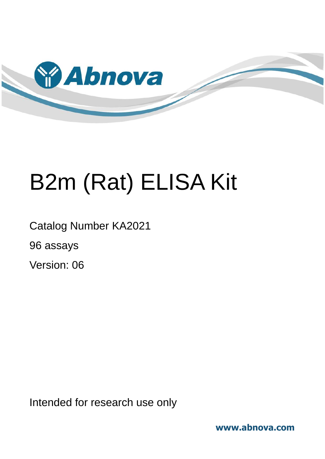

# B2m (Rat) ELISA Kit

Catalog Number KA2021

96 assays

Version: 06

Intended for research use only

**www.abnova.com**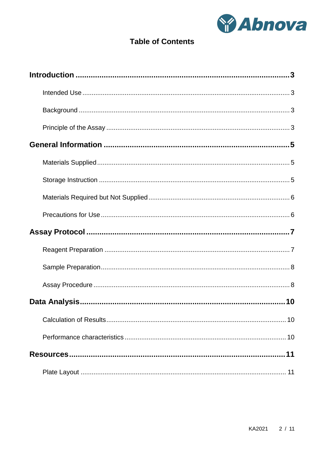

## **Table of Contents**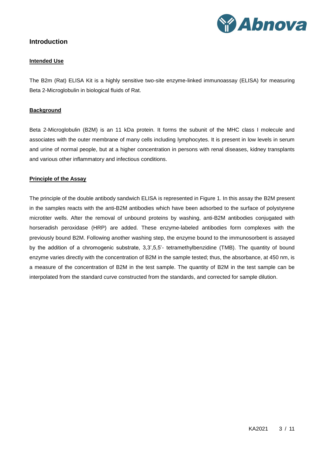

## <span id="page-2-1"></span><span id="page-2-0"></span>**Introduction**

#### **Intended Use**

The B2m (Rat) ELISA Kit is a highly sensitive two-site enzyme-linked immunoassay (ELISA) for measuring Beta 2-Microglobulin in biological fluids of Rat.

#### <span id="page-2-2"></span>**Background**

Beta 2-Microglobulin (B2M) is an 11 kDa protein. It forms the subunit of the MHC class I molecule and associates with the outer membrane of many cells including lymphocytes. It is present in low levels in serum and urine of normal people, but at a higher concentration in persons with renal diseases, kidney transplants and various other inflammatory and infectious conditions.

#### <span id="page-2-3"></span>**Principle of the Assay**

The principle of the double antibody sandwich ELISA is represented in Figure 1. In this assay the B2M present in the samples reacts with the anti-B2M antibodies which have been adsorbed to the surface of polystyrene microtiter wells. After the removal of unbound proteins by washing, anti-B2M antibodies conjugated with horseradish peroxidase (HRP) are added. These enzyme-labeled antibodies form complexes with the previously bound B2M. Following another washing step, the enzyme bound to the immunosorbent is assayed by the addition of a chromogenic substrate, 3,3',5,5'- tetramethylbenzidine (TMB). The quantity of bound enzyme varies directly with the concentration of B2M in the sample tested; thus, the absorbance, at 450 nm, is a measure of the concentration of B2M in the test sample. The quantity of B2M in the test sample can be interpolated from the standard curve constructed from the standards, and corrected for sample dilution.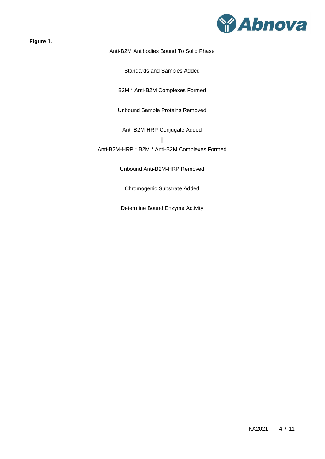

## **Figure 1.**

Anti-B2M Antibodies Bound To Solid Phase | Standards and Samples Added | B2M \* Anti-B2M Complexes Formed | Unbound Sample Proteins Removed | Anti-B2M-HRP Conjugate Added **|** Anti-B2M-HRP \* B2M \* Anti-B2M Complexes Formed | Unbound Anti-B2M-HRP Removed | Chromogenic Substrate Added | Determine Bound Enzyme Activity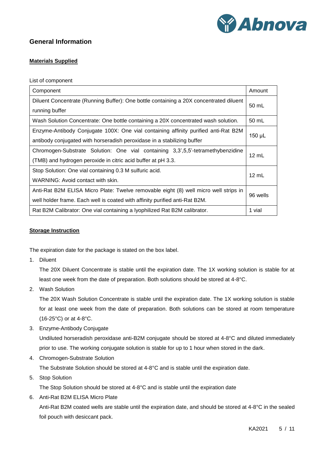

## <span id="page-4-1"></span><span id="page-4-0"></span>**General Information**

## **Materials Supplied**

List of component

| Component                                                                              |                 |  |  |  |  |  |  |
|----------------------------------------------------------------------------------------|-----------------|--|--|--|--|--|--|
| Diluent Concentrate (Running Buffer): One bottle containing a 20X concentrated diluent |                 |  |  |  |  |  |  |
| running buffer                                                                         | 50 mL           |  |  |  |  |  |  |
| Wash Solution Concentrate: One bottle containing a 20X concentrated wash solution.     |                 |  |  |  |  |  |  |
| Enzyme-Antibody Conjugate 100X: One vial containing affinity purified anti-Rat B2M     | $150 \mu L$     |  |  |  |  |  |  |
| antibody conjugated with horseradish peroxidase in a stabilizing buffer                |                 |  |  |  |  |  |  |
| Chromogen-Substrate Solution: One vial containing 3,3',5,5'-tetramethybenzidine        |                 |  |  |  |  |  |  |
| (TMB) and hydrogen peroxide in citric acid buffer at pH 3.3.                           | $12 \text{ mL}$ |  |  |  |  |  |  |
| Stop Solution: One vial containing 0.3 M sulfuric acid.                                | $12 \text{ mL}$ |  |  |  |  |  |  |
| WARNING: Avoid contact with skin.                                                      |                 |  |  |  |  |  |  |
| Anti-Rat B2M ELISA Micro Plate: Twelve removable eight (8) well micro well strips in   |                 |  |  |  |  |  |  |
| well holder frame. Each well is coated with affinity purified anti-Rat B2M.            |                 |  |  |  |  |  |  |
| Rat B2M Calibrator: One vial containing a Iyophilized Rat B2M calibrator.              |                 |  |  |  |  |  |  |

#### <span id="page-4-2"></span>**Storage Instruction**

The expiration date for the package is stated on the box label.

1. Diluent

The 20X Diluent Concentrate is stable until the expiration date. The 1X working solution is stable for at least one week from the date of preparation. Both solutions should be stored at 4-8°C.

2. Wash Solution

The 20X Wash Solution Concentrate is stable until the expiration date. The 1X working solution is stable for at least one week from the date of preparation. Both solutions can be stored at room temperature (16-25°C) or at 4-8°C.

3. Enzyme-Antibody Conjugate

Undiluted horseradish peroxidase anti-B2M conjugate should be stored at 4-8°C and diluted immediately prior to use. The working conjugate solution is stable for up to 1 hour when stored in the dark.

4. Chromogen-Substrate Solution

The Substrate Solution should be stored at 4-8°C and is stable until the expiration date.

5. Stop Solution

The Stop Solution should be stored at 4-8°C and is stable until the expiration date

6. Anti-Rat B2M ELISA Micro Plate

Anti-Rat B2M coated wells are stable until the expiration date, and should be stored at 4-8°C in the sealed foil pouch with desiccant pack.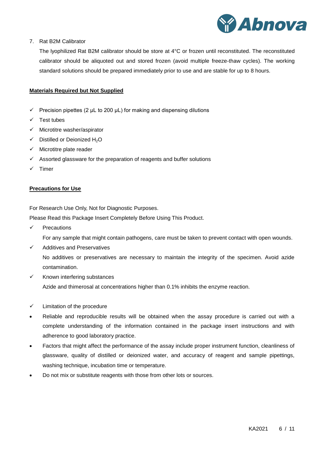

## 7. Rat B2M Calibrator

The lyophilized Rat B2M calibrator should be store at 4°C or frozen until reconstituted. The reconstituted calibrator should be aliquoted out and stored frozen (avoid multiple freeze-thaw cycles). The working standard solutions should be prepared immediately prior to use and are stable for up to 8 hours.

## <span id="page-5-0"></span>**Materials Required but Not Supplied**

- $\checkmark$  Precision pipettes (2 µL to 200 µL) for making and dispensing dilutions
- $\checkmark$  Test tubes
- $\checkmark$  Microtitre washer/aspirator
- $\checkmark$  Distilled or Deionized H<sub>2</sub>O
- $\checkmark$  Microtitre plate reader
- $\checkmark$  Assorted glassware for the preparation of reagents and buffer solutions
- <span id="page-5-1"></span> $\checkmark$  Timer

## **Precautions for Use**

For Research Use Only, Not for Diagnostic Purposes.

Please Read this Package Insert Completely Before Using This Product.

 $\checkmark$  Precautions

For any sample that might contain pathogens, care must be taken to prevent contact with open wounds.

 $\checkmark$  Additives and Preservatives

No additives or preservatives are necessary to maintain the integrity of the specimen. Avoid azide contamination.

- $\checkmark$  Known interfering substances Azide and thimerosal at concentrations higher than 0.1% inhibits the enzyme reaction.
- $\checkmark$  Limitation of the procedure
- Reliable and reproducible results will be obtained when the assay procedure is carried out with a complete understanding of the information contained in the package insert instructions and with adherence to good laboratory practice.
- Factors that might affect the performance of the assay include proper instrument function, cleanliness of glassware, quality of distilled or deionized water, and accuracy of reagent and sample pipettings, washing technique, incubation time or temperature.
- Do not mix or substitute reagents with those from other lots or sources.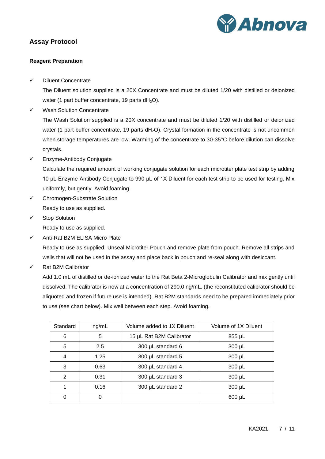

## <span id="page-6-1"></span><span id="page-6-0"></span>**Assay Protocol**

## **Reagent Preparation**

 $\checkmark$  Diluent Concentrate

The Diluent solution supplied is a 20X Concentrate and must be diluted 1/20 with distilled or deionized water (1 part buffer concentrate, 19 parts  $dH_2O$ ).

 $\checkmark$  Wash Solution Concentrate

The Wash Solution supplied is a 20X concentrate and must be diluted 1/20 with distilled or deionized water (1 part buffer concentrate, 19 parts dH<sub>2</sub>O). Crystal formation in the concentrate is not uncommon when storage temperatures are low. Warming of the concentrate to 30-35°C before dilution can dissolve crystals.

 $\checkmark$  Enzyme-Antibody Conjugate

Calculate the required amount of working conjugate solution for each microtiter plate test strip by adding 10 μL Enzyme-Antibody Conjugate to 990 μL of 1X Diluent for each test strip to be used for testing. Mix uniformly, but gently. Avoid foaming.

- Chromogen-Substrate Solution Ready to use as supplied.
- $\checkmark$  Stop Solution

Ready to use as supplied.

 $\checkmark$  Anti-Rat B2M ELISA Micro Plate

Ready to use as supplied. Unseal Microtiter Pouch and remove plate from pouch. Remove all strips and wells that will not be used in the assay and place back in pouch and re-seal along with desiccant.

 $\checkmark$  Rat B2M Calibrator

Add 1.0 mL of distilled or de-ionized water to the Rat Beta 2-Microglobulin Calibrator and mix gently until dissolved. The calibrator is now at a concentration of 290.0 ng/mL. (the reconstituted calibrator should be aliquoted and frozen if future use is intended). Rat B2M standards need to be prepared immediately prior to use (see chart below). Mix well between each step. Avoid foaming.

| Standard       | ng/mL | Volume of 1X Diluent<br>Volume added to 1X Diluent |             |
|----------------|-------|----------------------------------------------------|-------------|
| 6              | 5     | 15 µL Rat B2M Calibrator                           | 855 µL      |
| 5              | 2.5   | 300 µL standard 6                                  | 300 µL      |
| 4              | 1.25  | 300 µL standard 5                                  | 300 µL      |
| 3              | 0.63  | 300 µL standard 4                                  | 300 µL      |
| $\overline{2}$ | 0.31  | 300 µL standard 3                                  | 300 µL      |
| 1              | 0.16  | 300 µL standard 2                                  | 300 µL      |
| 0              | 0     |                                                    | $600 \mu L$ |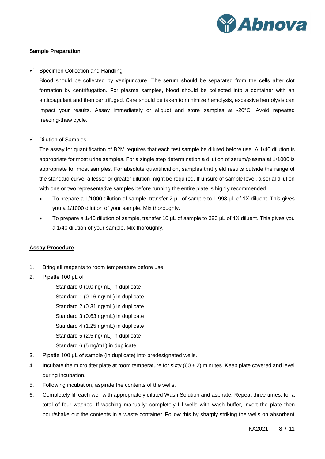

## <span id="page-7-0"></span>**Sample Preparation**

#### $\checkmark$  Specimen Collection and Handling

Blood should be collected by venipuncture. The serum should be separated from the cells after clot formation by centrifugation. For plasma samples, blood should be collected into a container with an anticoagulant and then centrifuged. Care should be taken to minimize hemolysis, excessive hemolysis can impact your results. Assay immediately or aliquot and store samples at -20°C. Avoid repeated freezing-thaw cycle.

#### Dilution of Samples

The assay for quantification of B2M requires that each test sample be diluted before use. A 1/40 dilution is appropriate for most urine samples. For a single step determination a dilution of serum/plasma at 1/1000 is appropriate for most samples. For absolute quantification, samples that yield results outside the range of the standard curve, a lesser or greater dilution might be required. If unsure of sample level, a serial dilution with one or two representative samples before running the entire plate is highly recommended.

- To prepare a 1/1000 dilution of sample, transfer 2 μL of sample to 1,998 μL of 1X diluent. This gives you a 1/1000 dilution of your sample. Mix thoroughly.
- To prepare a 1/40 dilution of sample, transfer 10 μL of sample to 390 μL of 1X diluent. This gives you a 1/40 dilution of your sample. Mix thoroughly.

#### <span id="page-7-1"></span>**Assay Procedure**

- 1. Bring all reagents to room temperature before use.
- 2. Pipette 100 μL of

Standard 0 (0.0 ng/mL) in duplicate

- Standard 1 (0.16 ng/mL) in duplicate
- Standard 2 (0.31 ng/mL) in duplicate
- Standard 3 (0.63 ng/mL) in duplicate
- Standard 4 (1.25 ng/mL) in duplicate
- Standard 5 (2.5 ng/mL) in duplicate
- Standard 6 (5 ng/mL) in duplicate
- 3. Pipette 100 μL of sample (in duplicate) into predesignated wells.
- 4. Incubate the micro titer plate at room temperature for sixty  $(60 \pm 2)$  minutes. Keep plate covered and level during incubation.
- 5. Following incubation, aspirate the contents of the wells.
- 6. Completely fill each well with appropriately diluted Wash Solution and aspirate. Repeat three times, for a total of four washes. If washing manually: completely fill wells with wash buffer, invert the plate then pour/shake out the contents in a waste container. Follow this by sharply striking the wells on absorbent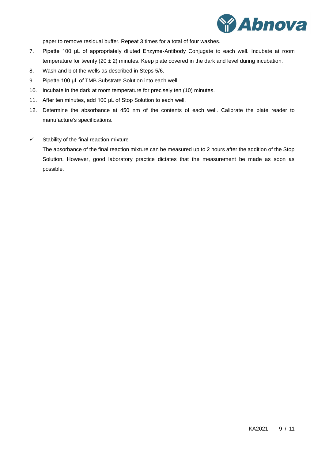

paper to remove residual buffer. Repeat 3 times for a total of four washes.

- 7. Pipette 100 μL of appropriately diluted Enzyme-Antibody Conjugate to each well. Incubate at room temperature for twenty (20  $\pm$  2) minutes. Keep plate covered in the dark and level during incubation.
- 8. Wash and blot the wells as described in Steps 5/6.
- 9. Pipette 100 μL of TMB Substrate Solution into each well.
- 10. Incubate in the dark at room temperature for precisely ten (10) minutes.
- 11. After ten minutes, add 100 μL of Stop Solution to each well.
- 12. Determine the absorbance at 450 nm of the contents of each well. Calibrate the plate reader to manufacture's specifications.
- $\checkmark$  Stability of the final reaction mixture The absorbance of the final reaction mixture can be measured up to 2 hours after the addition of the Stop Solution. However, good laboratory practice dictates that the measurement be made as soon as possible.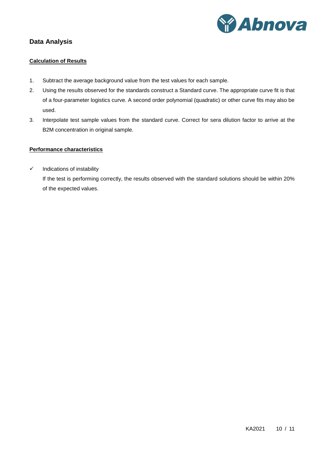

## <span id="page-9-1"></span><span id="page-9-0"></span>**Data Analysis**

## **Calculation of Results**

- 1. Subtract the average background value from the test values for each sample.
- 2. Using the results observed for the standards construct a Standard curve. The appropriate curve fit is that of a four-parameter logistics curve. A second order polynomial (quadratic) or other curve fits may also be used.
- 3. Interpolate test sample values from the standard curve. Correct for sera dilution factor to arrive at the B2M concentration in original sample.

## <span id="page-9-2"></span>**Performance characteristics**

 $\checkmark$  Indications of instability

If the test is performing correctly, the results observed with the standard solutions should be within 20% of the expected values.